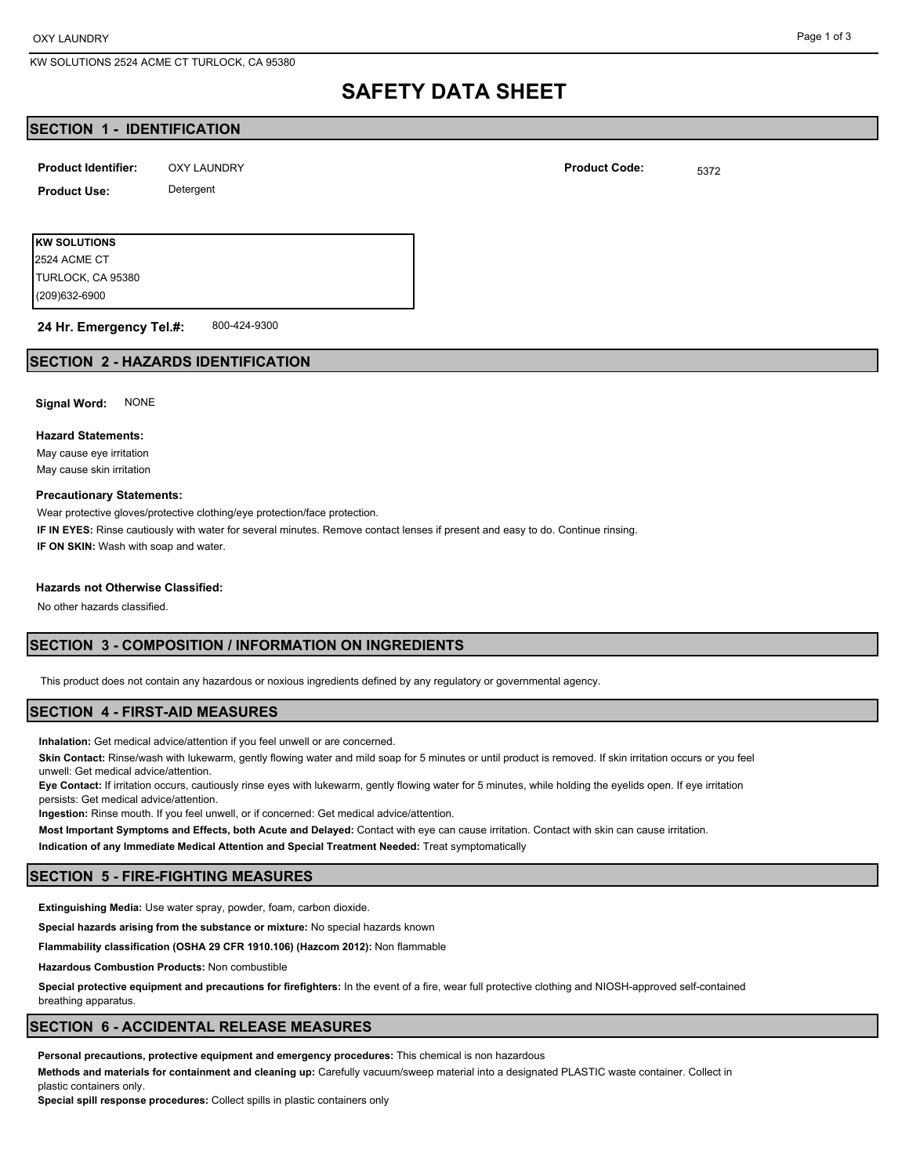KW SOLUTIONS 2524 ACME CT TURLOCK, CA 95380

# **SAFETY DATA SHEET**

## **SECTION 1 - IDENTIFICATION**

| <b>Product Identifier:</b> | OXY LAUNDRY | <b>Product Code:</b> | 5372 |
|----------------------------|-------------|----------------------|------|
| <b>Product Use:</b>        | Detergent   |                      |      |

**KW SOLUTIONS** (209)632-6900 TURLOCK, CA 95380 2524 ACME CT

800-424-9300 **24 Hr. Emergency Tel.#:**

## **SECTION 2 - HAZARDS IDENTIFICATION**

**Signal Word:** NONE

#### **Hazard Statements:**

May cause eye irritation May cause skin irritation

#### **Precautionary Statements:**

Wear protective gloves/protective clothing/eye protection/face protection.

**IF IN EYES:** Rinse cautiously with water for several minutes. Remove contact lenses if present and easy to do. Continue rinsing. **IF ON SKIN:** Wash with soap and water.

#### **Hazards not Otherwise Classified:**

No other hazards classified.

# **SECTION 3 - COMPOSITION / INFORMATION ON INGREDIENTS**

This product does not contain any hazardous or noxious ingredients defined by any regulatory or governmental agency.

#### **SECTION 4 - FIRST-AID MEASURES**

**Inhalation:** Get medical advice/attention if you feel unwell or are concerned.

**Skin Contact:** Rinse/wash with lukewarm, gently flowing water and mild soap for 5 minutes or until product is removed. If skin irritation occurs or you feel unwell: Get medical advice/attention.

**Eye Contact:** If irritation occurs, cautiously rinse eyes with lukewarm, gently flowing water for 5 minutes, while holding the eyelids open. If eye irritation persists: Get medical advice/attention.

**Ingestion:** Rinse mouth. If you feel unwell, or if concerned: Get medical advice/attention.

**Most Important Symptoms and Effects, both Acute and Delayed:** Contact with eye can cause irritation. Contact with skin can cause irritation.

**Indication of any Immediate Medical Attention and Special Treatment Needed:** Treat symptomatically

### **SECTION 5 - FIRE-FIGHTING MEASURES**

**Extinguishing Media:** Use water spray, powder, foam, carbon dioxide.

**Special hazards arising from the substance or mixture:** No special hazards known

**Flammability classification (OSHA 29 CFR 1910.106) (Hazcom 2012):** Non flammable

**Hazardous Combustion Products:** Non combustible

**Special protective equipment and precautions for firefighters:** In the event of a fire, wear full protective clothing and NIOSH-approved self-contained breathing apparatus.

# **SECTION 6 - ACCIDENTAL RELEASE MEASURES**

**Personal precautions, protective equipment and emergency procedures:** This chemical is non hazardous

**Methods and materials for containment and cleaning up:** Carefully vacuum/sweep material into a designated PLASTIC waste container. Collect in plastic containers only.

**Special spill response procedures:** Collect spills in plastic containers only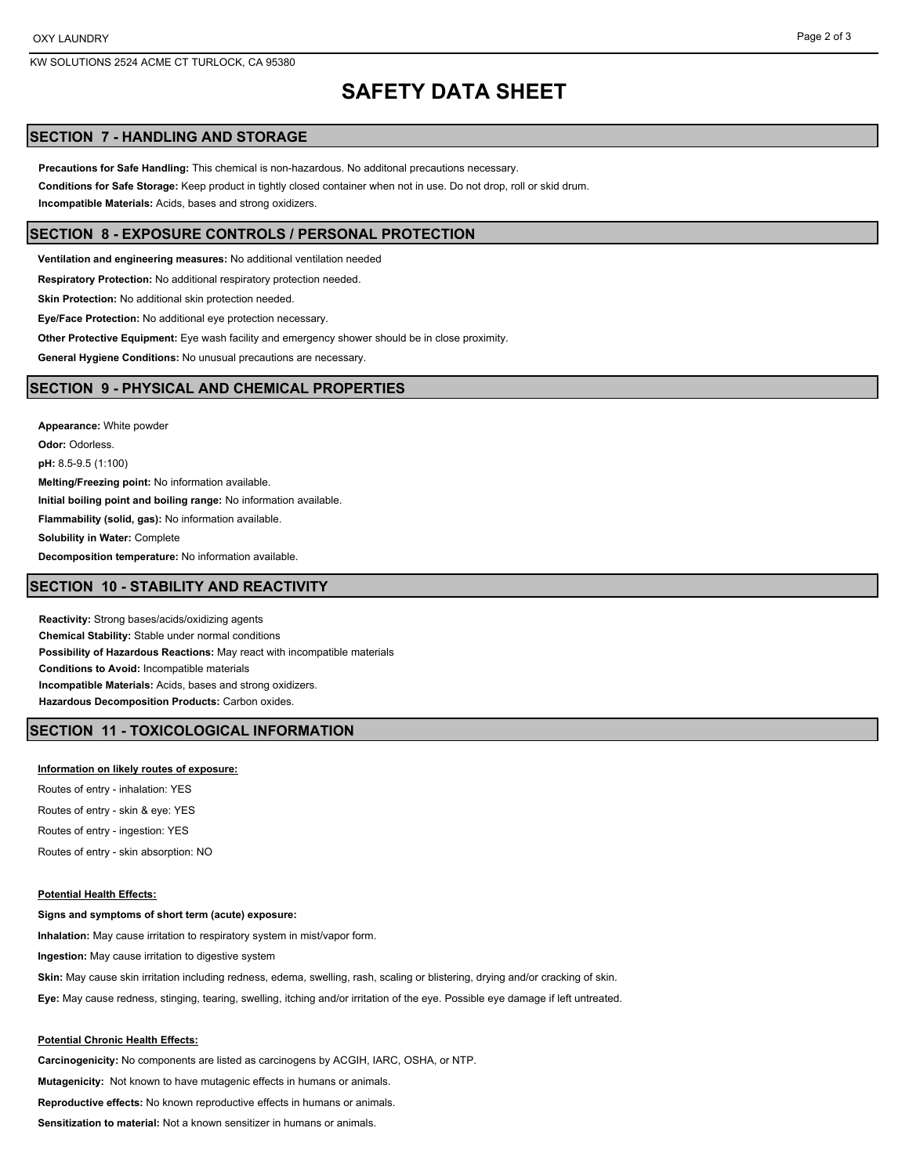# **SAFETY DATA SHEET**

## **SECTION 7 - HANDLING AND STORAGE**

**Precautions for Safe Handling:** This chemical is non-hazardous. No additonal precautions necessary. **Conditions for Safe Storage:** Keep product in tightly closed container when not in use. Do not drop, roll or skid drum. **Incompatible Materials:** Acids, bases and strong oxidizers.

#### **SECTION 8 - EXPOSURE CONTROLS / PERSONAL PROTECTION**

**Ventilation and engineering measures:** No additional ventilation needed

**Respiratory Protection:** No additional respiratory protection needed.

**Skin Protection:** No additional skin protection needed.

**Eye/Face Protection:** No additional eye protection necessary.

**Other Protective Equipment:** Eye wash facility and emergency shower should be in close proximity.

**General Hygiene Conditions:** No unusual precautions are necessary.

### **SECTION 9 - PHYSICAL AND CHEMICAL PROPERTIES**

**Appearance:** White powder **Odor:** Odorless. **pH:** 8.5-9.5 (1:100) **Melting/Freezing point:** No information available. **Initial boiling point and boiling range:** No information available. **Flammability (solid, gas):** No information available. **Solubility in Water:** Complete **Decomposition temperature:** No information available.

## **SECTION 10 - STABILITY AND REACTIVITY**

**Reactivity:** Strong bases/acids/oxidizing agents **Chemical Stability:** Stable under normal conditions **Possibility of Hazardous Reactions:** May react with incompatible materials **Conditions to Avoid:** Incompatible materials **Incompatible Materials:** Acids, bases and strong oxidizers. **Hazardous Decomposition Products:** Carbon oxides.

# **SECTION 11 - TOXICOLOGICAL INFORMATION**

#### **Information on likely routes of exposure:**

Routes of entry - inhalation: YES Routes of entry - skin & eye: YES Routes of entry - ingestion: YES Routes of entry - skin absorption: NO

#### **Potential Health Effects:**

**Signs and symptoms of short term (acute) exposure: Inhalation:** May cause irritation to respiratory system in mist/vapor form. **Ingestion:** May cause irritation to digestive system

**Skin:** May cause skin irritation including redness, edema, swelling, rash, scaling or blistering, drying and/or cracking of skin.

**Eye:** May cause redness, stinging, tearing, swelling, itching and/or irritation of the eye. Possible eye damage if left untreated.

#### **Potential Chronic Health Effects:**

**Carcinogenicity:** No components are listed as carcinogens by ACGIH, IARC, OSHA, or NTP.

**Mutagenicity:** Not known to have mutagenic effects in humans or animals.

**Reproductive effects:** No known reproductive effects in humans or animals.

**Sensitization to material:** Not a known sensitizer in humans or animals.